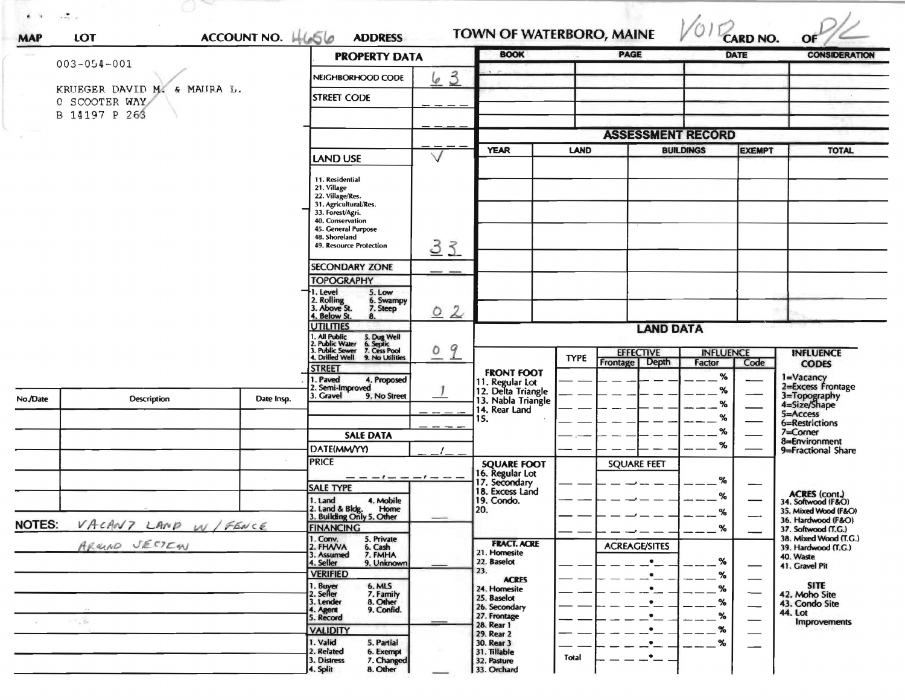|                                              | ACCOUNT NO. H656    | <b>ADDRESS</b>                                                                                                     |                    | <b>BOOK</b>                           |              | TOWN OF WATERBORO, MAINE<br><b>PAGE</b> |                            | <b>CARD NO.</b><br><b>DATE</b> | <b>CONSIDERATION</b>                      |
|----------------------------------------------|---------------------|--------------------------------------------------------------------------------------------------------------------|--------------------|---------------------------------------|--------------|-----------------------------------------|----------------------------|--------------------------------|-------------------------------------------|
| $003 - 054 - 001$                            |                     | <b>PROPERTY DATA</b>                                                                                               |                    |                                       |              |                                         |                            |                                |                                           |
|                                              |                     | NEIGHBORHOOD CODE                                                                                                  | $\frac{3}{2}$<br>6 |                                       |              |                                         |                            |                                |                                           |
| KRUEGER DAVID M. & MAURA L.<br>0 SCOOTER WAY |                     | <b>STREET CODE</b>                                                                                                 |                    |                                       |              |                                         |                            |                                |                                           |
| B 14197 P 266                                |                     |                                                                                                                    |                    |                                       |              |                                         |                            |                                |                                           |
|                                              |                     |                                                                                                                    |                    |                                       |              | <b>ASSESSMENT RECORD</b>                |                            |                                |                                           |
|                                              |                     |                                                                                                                    |                    |                                       |              |                                         |                            |                                |                                           |
|                                              |                     | <b>LAND USE</b>                                                                                                    | $\vee$             | <b>YEAR</b>                           | <b>LAND</b>  |                                         | <b>BUILDINGS</b>           | <b>EXEMPT</b>                  | <b>TOTAL</b>                              |
|                                              |                     | 11. Residential                                                                                                    |                    |                                       |              |                                         |                            |                                |                                           |
|                                              |                     | 21. Village                                                                                                        |                    |                                       |              |                                         |                            |                                |                                           |
|                                              |                     | 22. Village/Res.<br>31. Agricultural/Res.                                                                          |                    |                                       |              |                                         |                            |                                |                                           |
|                                              |                     | 33. Forest/Agri.<br>40. Conservation                                                                               |                    |                                       |              |                                         |                            |                                |                                           |
|                                              |                     | 45. General Purpose<br>48. Shoreland                                                                               |                    |                                       |              |                                         |                            |                                |                                           |
|                                              |                     | 49. Resource Protection                                                                                            | 33                 |                                       |              |                                         |                            |                                |                                           |
|                                              |                     | <b>SECONDARY ZONE</b>                                                                                              |                    |                                       |              |                                         |                            |                                |                                           |
|                                              |                     | <b>TOPOGRAPHY</b>                                                                                                  |                    |                                       |              |                                         |                            |                                |                                           |
|                                              |                     | 1. Level<br>5. Low<br>6. Swampy                                                                                    |                    |                                       |              |                                         |                            |                                |                                           |
|                                              |                     | 2. Rolling<br>3. Above St.<br>7. Steep<br>4. Below St.<br>8.                                                       | 02                 |                                       |              |                                         |                            |                                |                                           |
|                                              |                     | <b>UTILITIES</b>                                                                                                   |                    |                                       |              | <b>LAND DATA</b>                        |                            |                                |                                           |
|                                              |                     | 1. All Public<br>2. Public Water<br>3. Public Sewer<br>4. Drilled Well<br>5. Dug Well<br>6. Septic<br>7. Cess Pool |                    |                                       |              |                                         |                            |                                |                                           |
|                                              |                     | 9. No Utilities                                                                                                    | 9<br>٥             |                                       | <b>TYPE</b>  | <b>EFFECTIVE</b><br>Frontage Depth      | <b>INFLUENCE</b><br>Factor |                                | <b>INFLUENCE</b>                          |
|                                              |                     | <b>STREET</b>                                                                                                      |                    | <b>FRONT FOOT</b>                     |              |                                         | %                          | Code                           | <b>CODES</b>                              |
|                                              |                     | 1. Paved<br>4. Proposed<br>2. Semi-Improved                                                                        |                    | 11. Regular Lot<br>12. Delta Triangle |              |                                         | %                          |                                | 1=Vacancy<br>2=Excess Frontage            |
| No./Date<br><b>Description</b>               | Date Insp.          | 3. Gravel<br>9. No Street                                                                                          |                    | 13. Nabla Triangle                    |              |                                         | %                          |                                | 3=Topography<br>4=Size/Shape              |
|                                              |                     |                                                                                                                    |                    | 14. Rear Land<br>15.                  |              |                                         | %                          |                                | 5=Access<br>6=Restrictions                |
|                                              |                     | <b>SALE DATA</b>                                                                                                   |                    |                                       |              |                                         | %                          |                                | $7=Corner$                                |
|                                              |                     | DATE(MM/YY)                                                                                                        |                    |                                       |              |                                         | %                          |                                | 8=Environment<br>9=Fractional Share       |
|                                              |                     | <b>PRICE</b>                                                                                                       |                    | <b>SQUARE FOOT</b>                    |              | <b>SQUARE FEET</b>                      |                            |                                |                                           |
|                                              |                     | ----------                                                                                                         |                    | 16. Regular Lot<br>17. Secondary      |              |                                         | ℅                          |                                |                                           |
|                                              |                     | <b>SALE TYPE</b>                                                                                                   |                    | 18. Excess Land                       |              |                                         | ℅                          |                                | ACRES (cont.)<br>34. Softwood (F&O)       |
|                                              |                     | 4. Mobile<br>1. Land<br>2. Land & Bldg.<br>Home                                                                    |                    | 19. Condo.<br>20.                     |              |                                         | %                          |                                | 35. Mixed Wood (F&O)                      |
| <b>NOTES:</b>                                | VACANT LAND W/FENCE | 3. Building Only 5. Other<br><b>FINANCING</b>                                                                      |                    |                                       |              |                                         | $\%$                       |                                | 36. Hardwood (F&O)<br>37. Softwood (T.G.) |
| ARUMO JECTEM                                 |                     | 1. Conv.<br>5. Private                                                                                             |                    | <b>FRACT. ACRE</b>                    |              |                                         |                            |                                | 38. Mixed Wood (T.G.)                     |
|                                              |                     | 2. FHAVA<br>6. Cash<br>7. FMHA<br>3. Assumed                                                                       |                    | 21. Homesite                          |              | <b>ACREAGE/SITES</b>                    |                            |                                | 39. Hardwood (T.G.)<br>40. Waste          |
|                                              |                     | 9. Unknown<br>4. Seller<br><b>VERIFIED</b>                                                                         |                    | 22. Baselot<br>23.                    |              | $\bullet$                               | $-$ %<br>$\%$              | —                              | 41. Gravel Pit                            |
|                                              |                     | 1. Buyer<br>2. Seller<br>6. MLS                                                                                    |                    | <b>ACRES</b><br>24. Homesite          |              | $-2$<br>$\frac{1}{2}$                   | $--- %$                    |                                | <b>SITE</b>                               |
|                                              |                     | 7. Family<br>3. Lender<br>8. Other<br>9. Confid.                                                                   |                    | 25. Baselot                           |              | $\ddot{\phantom{a}}$ $-$                | $  \frac{\%}{\%}$          |                                | 42. Moho Site<br>43. Condo Site           |
|                                              |                     | 4. Agent<br>5. Record                                                                                              |                    | 26. Secondary<br>27. Frontage         |              | $\cdot$                                 | $--- %$                    | $\overline{\phantom{0}}$       | 44. Lot                                   |
| 7.76                                         |                     | <b>VALIDITY</b>                                                                                                    |                    | 28. Rear 1<br>29. Rear 2              |              | $\bullet$                               | $--$ %                     | $\overline{\phantom{0}}$       | Improvements                              |
|                                              |                     | 1. Valid<br>5. Partial                                                                                             |                    | 30. Rear 3                            |              |                                         | $-$ %                      |                                |                                           |
|                                              |                     | 2. Related<br>6. Exempt<br>7. Changed                                                                              |                    | 31. Tillable<br>32. Pasture           | <b>Total</b> | $\cdot$ –                               |                            |                                |                                           |
|                                              |                     | 3. Distress                                                                                                        |                    |                                       |              |                                         |                            |                                |                                           |

 $\circ$